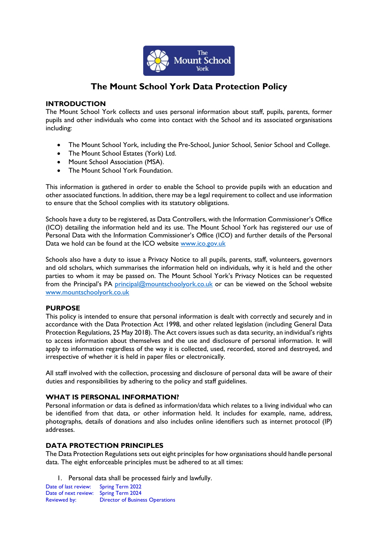

# **The Mount School York Data Protection Policy**

# **INTRODUCTION**

The Mount School York collects and uses personal information about staff, pupils, parents, former pupils and other individuals who come into contact with the School and its associated organisations including:

- The Mount School York, including the Pre-School, Junior School, Senior School and College.
- The Mount School Estates (York) Ltd.
- Mount School Association (MSA).
- The Mount School York Foundation.

This information is gathered in order to enable the School to provide pupils with an education and other associated functions. In addition, there may be a legal requirement to collect and use information to ensure that the School complies with its statutory obligations.

Schools have a duty to be registered, as Data Controllers, with the Information Commissioner's Office (ICO) detailing the information held and its use. The Mount School York has registered our use of Personal Data with the Information Commissioner's Office (ICO) and further details of the Personal Data we hold can be found at the ICO website [www.ico.gov.uk](http://www.ico.gov.uk/)

Schools also have a duty to issue a Privacy Notice to all pupils, parents, staff, volunteers, governors and old scholars, which summarises the information held on individuals, why it is held and the other parties to whom it may be passed on. The Mount School York's Privacy Notices can be requested from the Principal's PA [principal@mountschoolyork.co.uk](mailto:principal@mountschoolyork.co.uk) or can be viewed on the School website [www.mountschoolyork.co.uk](http://www.mountschoolyork.co.uk/)

# **PURPOSE**

This policy is intended to ensure that personal information is dealt with correctly and securely and in accordance with the Data Protection Act 1998, and other related legislation (including General Data Protection Regulations, 25 May 2018). The Act covers issues such as data security, an individual's rights to access information about themselves and the use and disclosure of personal information. It will apply to information regardless of the way it is collected, used, recorded, stored and destroyed, and irrespective of whether it is held in paper files or electronically.

All staff involved with the collection, processing and disclosure of personal data will be aware of their duties and responsibilities by adhering to the policy and staff guidelines.

# **WHAT IS PERSONAL INFORMATION?**

Personal information or data is defined as information/data which relates to a living individual who can be identified from that data, or other information held. It includes for example, name, address, photographs, details of donations and also includes online identifiers such as internet protocol (IP) addresses.

# **DATA PROTECTION PRINCIPI ES**

The Data Protection Regulations sets out eight principles for how organisations should handle personal data. The eight enforceable principles must be adhered to at all times:

1. Personal data shall be processed fairly and lawfully.

Date of last review: Spring Term 2022 Date of next review: Spring Term 2024 Reviewed by: Director of Business Operations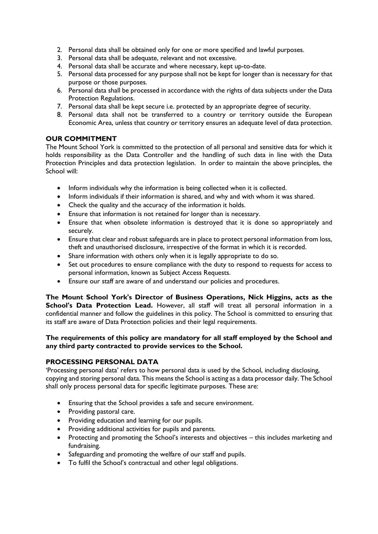- 2. Personal data shall be obtained only for one or more specified and lawful purposes.
- 3. Personal data shall be adequate, relevant and not excessive.
- 4. Personal data shall be accurate and where necessary, kept up-to-date.
- 5. Personal data processed for any purpose shall not be kept for longer than is necessary for that purpose or those purposes.
- 6. Personal data shall be processed in accordance with the rights of data subjects under the Data Protection Regulations.
- 7. Personal data shall be kept secure i.e. protected by an appropriate degree of security.
- 8. Personal data shall not be transferred to a country or territory outside the European Economic Area, unless that country or territory ensures an adequate level of data protection.

# **OUR COMMITMENT**

The Mount School York is committed to the protection of all personal and sensitive data for which it holds responsibility as the Data Controller and the handling of such data in line with the Data Protection Principles and data protection legislation. In order to maintain the above principles, the School will:

- Inform individuals why the information is being collected when it is collected.
- Inform individuals if their information is shared, and why and with whom it was shared.
- Check the quality and the accuracy of the information it holds.
- Ensure that information is not retained for longer than is necessary.
- Ensure that when obsolete information is destroyed that it is done so appropriately and securely.
- Ensure that clear and robust safeguards are in place to protect personal information from loss, theft and unauthorised disclosure, irrespective of the format in which it is recorded.
- Share information with others only when it is legally appropriate to do so.
- Set out procedures to ensure compliance with the duty to respond to requests for access to personal information, known as Subject Access Requests.
- Ensure our staff are aware of and understand our policies and procedures.

**The Mount School York's Director of Business Operations, Nick Higgins, acts as the**  School's Data Protection Lead. However, all staff will treat all personal information in a confidential manner and follow the guidelines in this policy. The School is committed to ensuring that its staff are aware of Data Protection policies and their legal requirements.

#### **The requirements of this policy are mandatory for all staff employed by the School and any third party contracted to provide services to the School.**

# **PROCESSING PERSONAL DATA**

'Processing personal data' refers to how personal data is used by the School, including disclosing, copying and storing personal data. This means the School is acting as a data processor daily. The School shall only process personal data for specific legitimate purposes. These are:

- Ensuring that the School provides a safe and secure environment.
- Providing pastoral care.
- Providing education and learning for our pupils.
- Providing additional activities for pupils and parents.
- Protecting and promoting the School's interests and objectives this includes marketing and fundraising.
- Safeguarding and promoting the welfare of our staff and pupils.
- To fulfil the School's contractual and other legal obligations.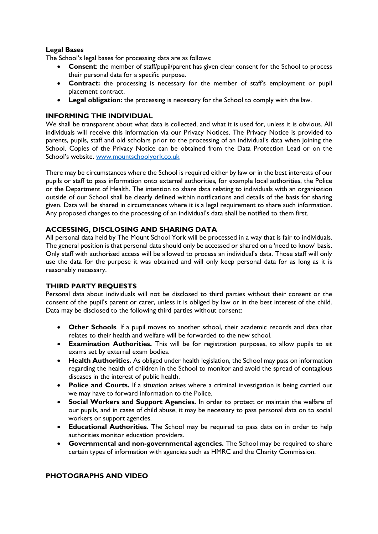# **Legal Bases**

The School's legal bases for processing data are as follows:

- **Consent**: the member of staff/pupil/parent has given clear consent for the School to process their personal data for a specific purpose.
- **Contract:** the processing is necessary for the member of staff's employment or pupil placement contract.
- **Legal obligation:** the processing is necessary for the School to comply with the law.

# **INFORMING THE INDIVIDUAL**

We shall be transparent about what data is collected, and what it is used for, unless it is obvious. All individuals will receive this information via our Privacy Notices. The Privacy Notice is provided to parents, pupils, staff and old scholars prior to the processing of an individual's data when joining the School. Copies of the Privacy Notice can be obtained from the Data Protection Lead or on the School's website. [www.mountschoolyork.co.uk](http://www.mountschoolyork.co.uk/)

There may be circumstances where the School is required either by law or in the best interests of our pupils or staff to pass information onto external authorities, for example local authorities, the Police or the Department of Health. The intention to share data relating to individuals with an organisation outside of our School shall be clearly defined within notifications and details of the basis for sharing given. Data will be shared in circumstances where it is a legal requirement to share such information. Any proposed changes to the processing of an individual's data shall be notified to them first.

# **ACCESSING, DISCLOSING AND SHARING DATA**

All personal data held by The Mount School York will be processed in a way that is fair to individuals. The general position is that personal data should only be accessed or shared on a 'need to know' basis. Only staff with authorised access will be allowed to process an individual's data. Those staff will only use the data for the purpose it was obtained and will only keep personal data for as long as it is reasonably necessary.

#### **THIRD PARTY REQUESTS**

Personal data about individuals will not be disclosed to third parties without their consent or the consent of the pupil's parent or carer, unless it is obliged by law or in the best interest of the child. Data may be disclosed to the following third parties without consent:

- **Other Schools**. If a pupil moves to another school, their academic records and data that relates to their health and welfare will be forwarded to the new school.
- **Examination Authorities.** This will be for registration purposes, to allow pupils to sit exams set by external exam bodies.
- **Health Authorities.** As obliged under health legislation, the School may pass on information regarding the health of children in the School to monitor and avoid the spread of contagious diseases in the interest of public health.
- **Police and Courts.** If a situation arises where a criminal investigation is being carried out we may have to forward information to the Police.
- **Social Workers and Support Agencies.** In order to protect or maintain the welfare of our pupils, and in cases of child abuse, it may be necessary to pass personal data on to social workers or support agencies.
- **Educational Authorities.** The School may be required to pass data on in order to help authorities monitor education providers.
- **Governmental and non-governmental agencies.** The School may be required to share certain types of information with agencies such as HMRC and the Charity Commission.

# **PHOTOGRAPHS AND VIDEO**